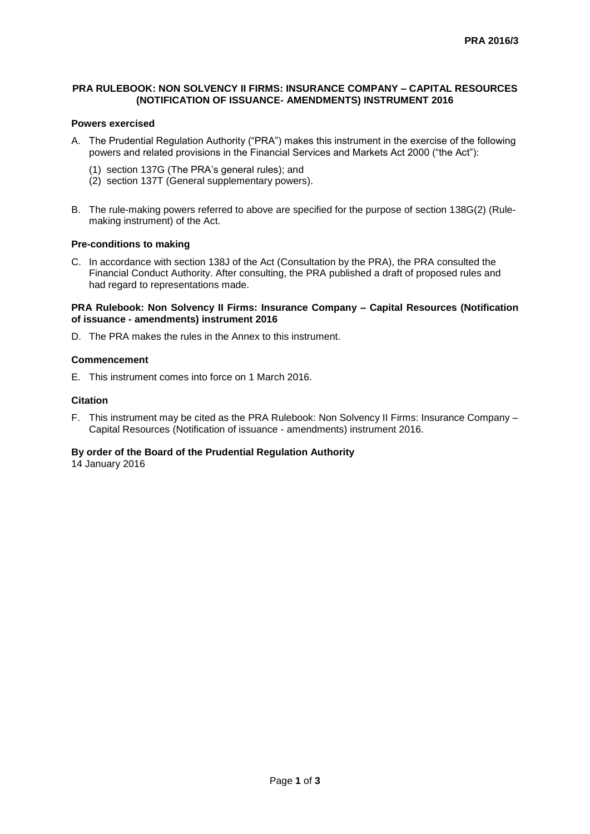## **PRA RULEBOOK: NON SOLVENCY II FIRMS: INSURANCE COMPANY – CAPITAL RESOURCES (NOTIFICATION OF ISSUANCE- AMENDMENTS) INSTRUMENT 2016**

## **Powers exercised**

- A. The Prudential Regulation Authority ("PRA") makes this instrument in the exercise of the following powers and related provisions in the Financial Services and Markets Act 2000 ("the Act"):
	- (1) section 137G (The PRA's general rules); and
	- (2) section 137T (General supplementary powers).
- B. The rule-making powers referred to above are specified for the purpose of section 138G(2) (Rulemaking instrument) of the Act.

#### **Pre-conditions to making**

C. In accordance with section 138J of the Act (Consultation by the PRA), the PRA consulted the Financial Conduct Authority. After consulting, the PRA published a draft of proposed rules and had regard to representations made.

### **PRA Rulebook: Non Solvency II Firms: Insurance Company – Capital Resources (Notification of issuance - amendments) instrument 2016**

D. The PRA makes the rules in the Annex to this instrument.

## **Commencement**

E. This instrument comes into force on 1 March 2016.

#### **Citation**

F. This instrument may be cited as the PRA Rulebook: Non Solvency II Firms: Insurance Company – Capital Resources (Notification of issuance - amendments) instrument 2016.

# **By order of the Board of the Prudential Regulation Authority**

14 January 2016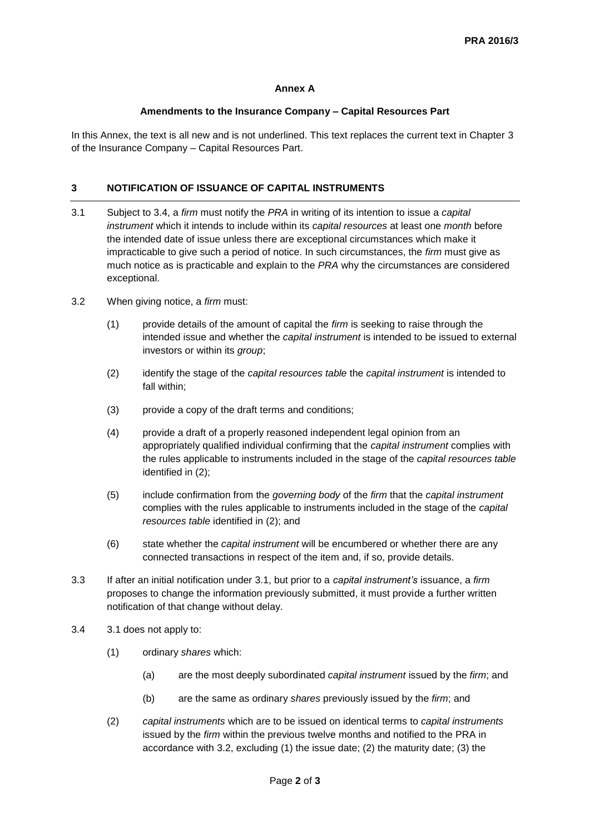## **Annex A**

## **Amendments to the Insurance Company – Capital Resources Part**

In this Annex, the text is all new and is not underlined. This text replaces the current text in Chapter 3 of the Insurance Company – Capital Resources Part.

## **3 NOTIFICATION OF ISSUANCE OF CAPITAL INSTRUMENTS**

- 3.1 Subject to 3.4, a *firm* must notify the *PRA* in writing of its intention to issue a *capital instrument* which it intends to include within its *capital resources* at least one *month* before the intended date of issue unless there are exceptional circumstances which make it impracticable to give such a period of notice. In such circumstances, the *firm* must give as much notice as is practicable and explain to the *PRA* why the circumstances are considered exceptional.
- 3.2 When giving notice, a *firm* must:
	- (1) provide details of the amount of capital the *firm* is seeking to raise through the intended issue and whether the *capital instrument* is intended to be issued to external investors or within its *group*;
	- (2) identify the stage of the *capital resources table* the *capital instrument* is intended to fall within;
	- (3) provide a copy of the draft terms and conditions;
	- (4) provide a draft of a properly reasoned independent legal opinion from an appropriately qualified individual confirming that the *capital instrument* complies with the rules applicable to instruments included in the stage of the *capital resources table* identified in (2);
	- (5) include confirmation from the *governing body* of the *firm* that the *capital instrument* complies with the rules applicable to instruments included in the stage of the *capital resources table* identified in (2); and
	- (6) state whether the *capital instrument* will be encumbered or whether there are any connected transactions in respect of the item and, if so, provide details.
- 3.3 If after an initial notification under 3.1, but prior to a *capital instrument's* issuance, a *firm* proposes to change the information previously submitted, it must provide a further written notification of that change without delay.
- 3.4 3.1 does not apply to:
	- (1) ordinary *shares* which:
		- (a) are the most deeply subordinated *capital instrument* issued by the *firm*; and
		- (b) are the same as ordinary *shares* previously issued by the *firm*; and
	- (2) *capital instruments* which are to be issued on identical terms to *capital instruments* issued by the *firm* within the previous twelve months and notified to the PRA in accordance with 3.2, excluding (1) the issue date; (2) the maturity date; (3) the